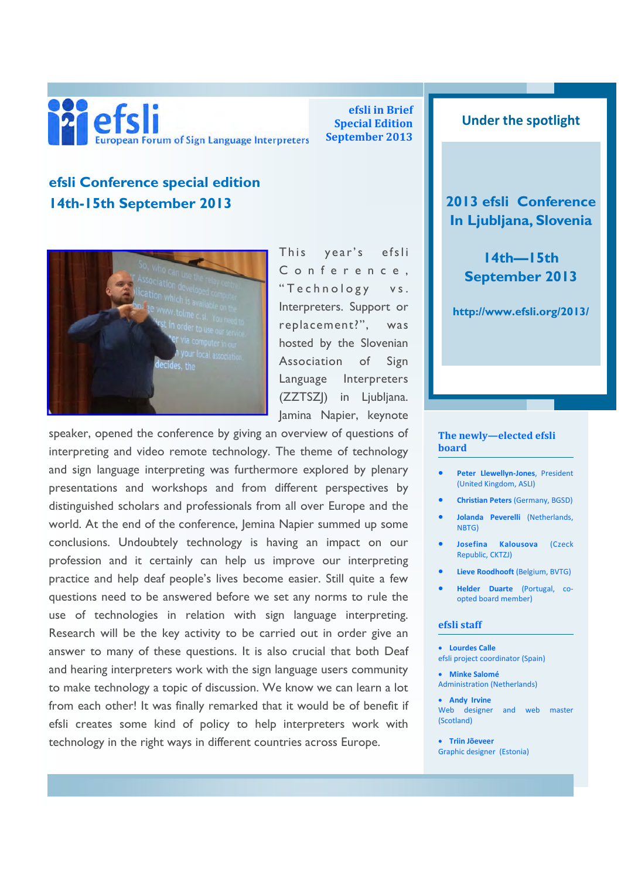

efsli in Brief Special Edition September 2013

## Under the spotlight

2013 efsli Conference In Ljubljana, Slovenia

> 14th—15th September 2013

http://www.efsli.org/2013/

# efsli Conference special edition 14th-15th September 2013



This year's efsli Conference, "Technology vs. Interpreters. Support or replacement?", was hosted by the Slovenian Association of Sign Language Interpreters (ZZTSZJ) in Ljubljana. Jamina Napier, keynote

speaker, opened the conference by giving an overview of questions of interpreting and video remote technology. The theme of technology and sign language interpreting was furthermore explored by plenary presentations and workshops and from different perspectives by distinguished scholars and professionals from all over Europe and the world. At the end of the conference, Jemina Napier summed up some conclusions. Undoubtely technology is having an impact on our profession and it certainly can help us improve our interpreting practice and help deaf people's lives become easier. Still quite a few questions need to be answered before we set any norms to rule the use of technologies in relation with sign language interpreting. Research will be the key activity to be carried out in order give an answer to many of these questions. It is also crucial that both Deaf and hearing interpreters work with the sign language users community to make technology a topic of discussion. We know we can learn a lot from each other! It was finally remarked that it would be of benefit if efsli creates some kind of policy to help interpreters work with technology in the right ways in different countries across Europe.

#### The newly—elected efsli board

- Peter Llewellyn-Jones, President (United Kingdom, ASLI)
- Christian Peters (Germany, BGSD)
- Jolanda Peverelli (Netherlands, NBTG)
- Josefina Kalousova (Czeck Republic, CKTZJ)
- Lieve Roodhooft (Belgium, BVTG)
- Helder Duarte (Portugal, coopted board member)

#### efsli staff

- Lourdes Calle efsli project coordinator (Spain)
- Minke Salomé Administration (Netherlands)

• Andy Irvine Web designer and web master (Scotland)

• Triin Jõeveer Graphic designer (Estonia)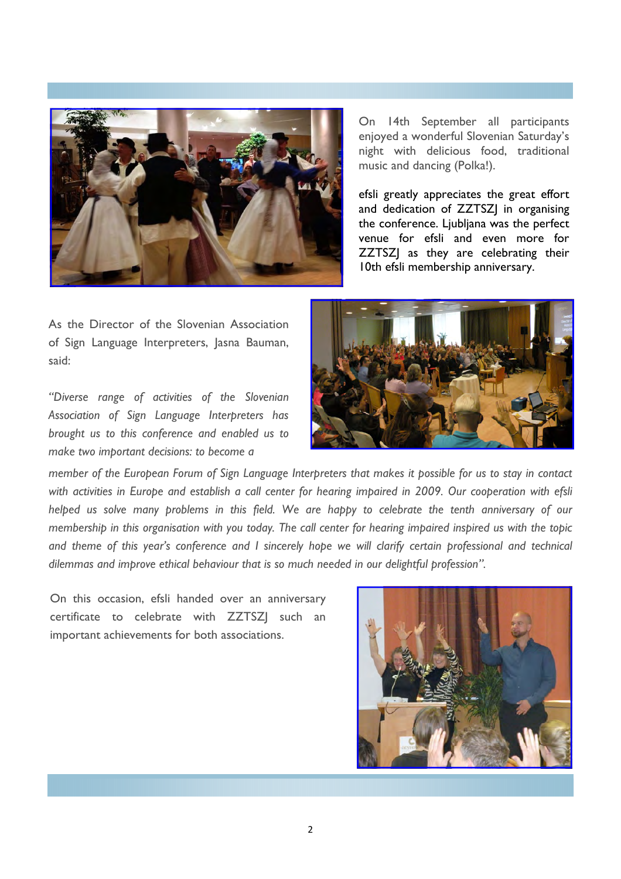

On 14th September all participants enjoyed a wonderful Slovenian Saturday's night with delicious food, traditional music and dancing (Polka!).

efsli greatly appreciates the great effort and dedication of ZZTSZJ in organising the conference. Ljubljana was the perfect venue for efsli and even more for ZZTSZJ as they are celebrating their 10th efsli membership anniversary.

As the Director of the Slovenian Association of Sign Language Interpreters, Jasna Bauman, said:

"Diverse range of activities of the Slovenian Association of Sign Language Interpreters has brought us to this conference and enabled us to make two important decisions: to become a



member of the European Forum of Sign Language Interpreters that makes it possible for us to stay in contact with activities in Europe and establish a call center for hearing impaired in 2009. Our cooperation with efsli helped us solve many problems in this field. We are happy to celebrate the tenth anniversary of our membership in this organisation with you today. The call center for hearing impaired inspired us with the topic and theme of this year's conference and I sincerely hope we will clarify certain professional and technical dilemmas and improve ethical behaviour that is so much needed in our delightful profession".

On this occasion, efsli handed over an anniversary certificate to celebrate with ZZTSZJ such an important achievements for both associations.